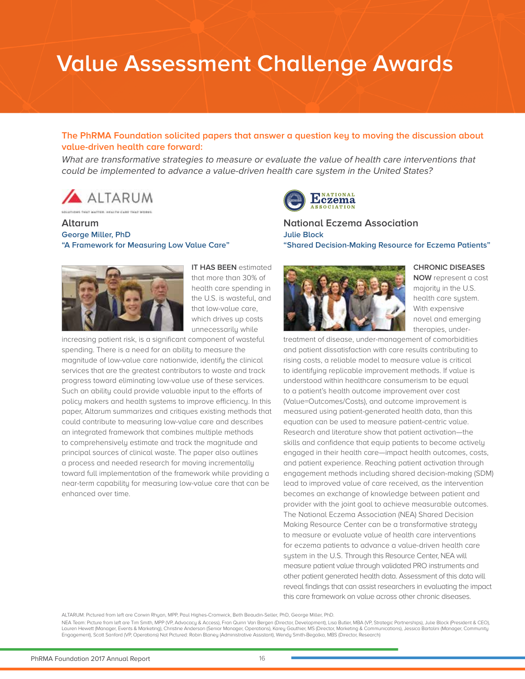# **Value Assessment Challenge Awards**

#### **The PhRMA Foundation solicited papers that answer a question key to moving the discussion about value-driven health care forward:**

What are transformative strategies to measure or evaluate the value of health care interventions that *could be implemented to advance a value-driven health care system in the United States?*



THE HEATH CARE THAT WORKS

**Altarum George Miller, PhD "A Framework for Measuring Low Value Care"**



**IT HAS BEEN** estimated that more than 30% of health care spending in the U.S. is wasteful, and that low-value care, which drives up costs unnecessarily while

increasing patient risk, is a significant component of wasteful spending. There is a need for an ability to measure the magnitude of low-value care nationwide, identifu the clinical services that are the greatest contributors to waste and track progress toward eliminating low-value use of these services. Such an ability could provide valuable input to the efforts of policy makers and health systems to improve efficiency. In this paper, Altarum summarizes and critiques existing methods that could contribute to measuring low-value care and describes an integrated framework that combines multiple methods to comprehensively estimate and track the magnitude and principal sources of clinical waste. The paper also outlines a process and needed research for moving incrementally toward full implementation of the framework while providing a near-term capability for measuring low-value care that can be enhanced over time.



**National Eczema Association Julie Block "Shared Decision-Making Resource for Eczema Patients"**



**CHRONIC DISEASES** 

**NOW** represent a cost majority in the U.S. health care system. With expensive novel and emerging therapies, under-

treatment of disease, under-management of comorbidities and patient dissatisfaction with care results contributing to rising costs, a reliable model to measure value is critical to identifying replicable improvement methods. If value is understood within healthcare consumerism to be equal to a patient's health outcome improvement over cost (Value=Outcomes/Costs), and outcome improvement is measured using patient-generated health data, than this equation can be used to measure patient-centric value. Research and literature show that patient activation—the skills and confidence that equip patients to become actively engaged in their health care—impact health outcomes, costs, and patient experience. Reaching patient activation through engagement methods including shared decision-making (SDM) lead to improved value of care received, as the intervention becomes an exchange of knowledge between patient and provider with the joint goal to achieve measurable outcomes. The National Eczema Association (NEA) Shared Decision Making Resource Center can be a transformative strategy to measure or evaluate value of health care interventions for eczema patients to advance a value-driven health care system in the U.S. Through this Resource Center, NEA will measure patient value through validated PRO instruments and other patient generated health data. Assessment of this data will reveal findings that can assist researchers in evaluating the impact this care framework on value across other chronic diseases.

ALTARUM: Pictured from left are Corwin Rhyan, MPP, Paul Highes-Cromwick, Beth Beaudin-Seller, PhD, George Miller, PhD.

NEA Team: Picture from left are Tim Smith, MPP (VP, Advocacy & Access), Fran Quinn Van Bergen (Director, Development), Lisa Butler, MBA (VP, Strategic Partnerships), Julie Block (President & CEO), Lauren Hewett (Manager, Events & Marketing), Christine Anderson (Senior Manager, Operations), Karey Gauthier, MS (Director, Marketing & Communications), Jessica Bartolini (Manager, Community<br>Engagement), Scott Sanford (VP,